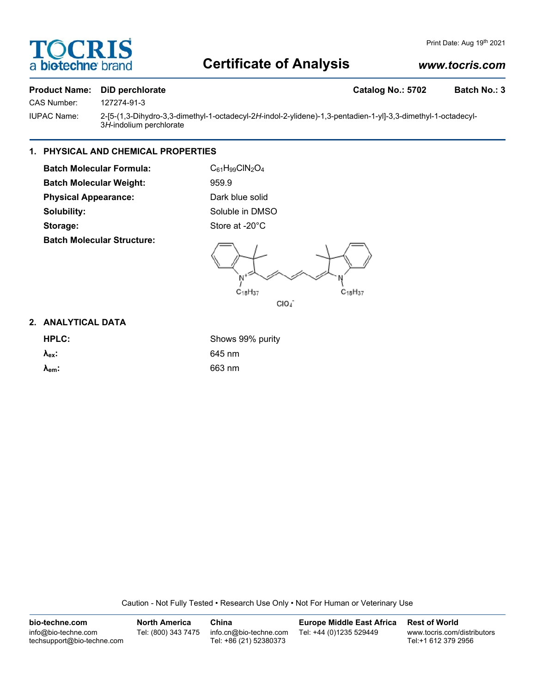

# **Certificate of Analysis**

# *www.tocris.com*

#### **Product Name:** DiD perchlorate Catalog No.: 5702 Batch No.: 3

CAS Number: 127274-91-3

IUPAC Name: 2-[5-(1,3-Dihydro-3,3-dimethyl-1-octadecyl-2*H*-indol-2-ylidene)-1,3-pentadien-1-yl]-3,3-dimethyl-1-octadecyl-3*H*-indolium perchlorate

# **1. PHYSICAL AND CHEMICAL PROPERTIES**

**Batch Molecular Formula:** C<sub>61</sub>H<sub>99</sub>ClN<sub>2</sub>O<sub>4</sub> **Batch Molecular Weight:** 959.9 **Physical Appearance:** Dark blue solid **Solubility:** Soluble in DMSO Storage: Store at -20°C **Batch Molecular Structure:**

 $C_{18}H_{37}$  $C_{18}H_{37}$ CIO4

## **2. ANALYTICAL DATA**

**HPLC:** Shows 99% purity **λex:** 645 nm **λem:** 663 nm

Caution - Not Fully Tested • Research Use Only • Not For Human or Veterinary Use

| bio-techne.com                                    | <b>North America</b> | China                                            | <b>Europe Middle East Africa</b> | <b>Rest of World</b>                               |
|---------------------------------------------------|----------------------|--------------------------------------------------|----------------------------------|----------------------------------------------------|
| info@bio-techne.com<br>techsupport@bio-techne.com | Tel: (800) 343 7475  | info.cn@bio-techne.com<br>Tel: +86 (21) 52380373 | Tel: +44 (0)1235 529449          | www.tocris.com/distributors<br>Tel:+1 612 379 2956 |